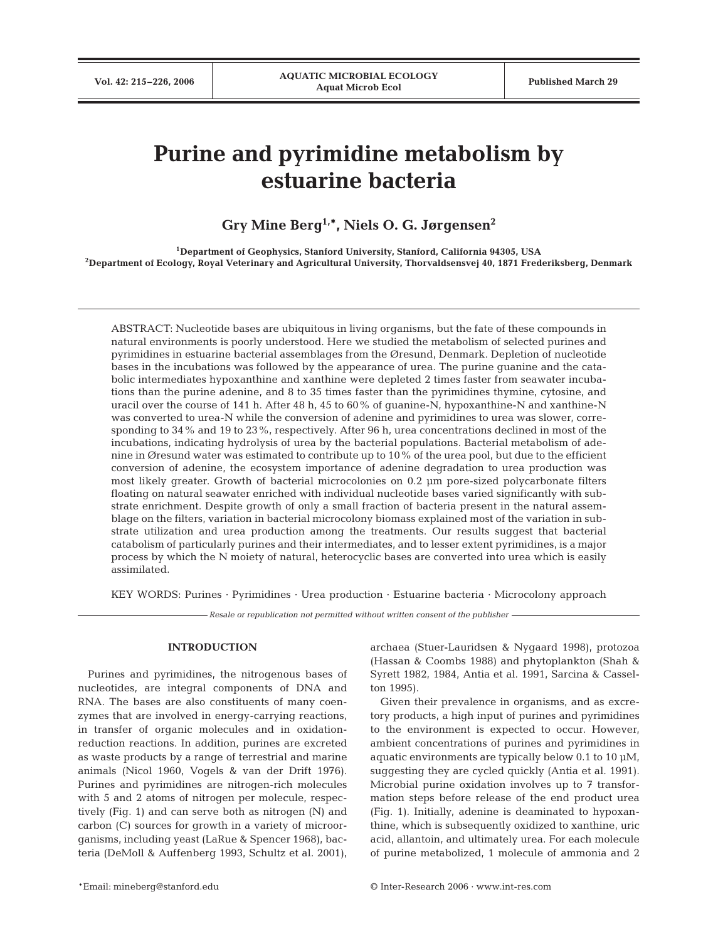# **Purine and pyrimidine metabolism by estuarine bacteria**

**Gry Mine Berg1,\*, Niels O. G. Jørgensen2**

**1Department of Geophysics, Stanford University, Stanford, California 94305, USA 2Department of Ecology, Royal Veterinary and Agricultural University, Thorvaldsensvej 40, 1871 Frederiksberg, Denmark**

ABSTRACT: Nucleotide bases are ubiquitous in living organisms, but the fate of these compounds in natural environments is poorly understood. Here we studied the metabolism of selected purines and pyrimidines in estuarine bacterial assemblages from the Øresund, Denmark. Depletion of nucleotide bases in the incubations was followed by the appearance of urea. The purine guanine and the catabolic intermediates hypoxanthine and xanthine were depleted 2 times faster from seawater incubations than the purine adenine, and 8 to 35 times faster than the pyrimidines thymine, cytosine, and uracil over the course of 141 h. After 48 h, 45 to 60% of guanine-N, hypoxanthine-N and xanthine-N was converted to urea-N while the conversion of adenine and pyrimidines to urea was slower, corresponding to 34% and 19 to 23%, respectively. After 96 h, urea concentrations declined in most of the incubations, indicating hydrolysis of urea by the bacterial populations. Bacterial metabolism of adenine in Øresund water was estimated to contribute up to 10% of the urea pool, but due to the efficient conversion of adenine, the ecosystem importance of adenine degradation to urea production was most likely greater. Growth of bacterial microcolonies on 0.2 µm pore-sized polycarbonate filters floating on natural seawater enriched with individual nucleotide bases varied significantly with substrate enrichment. Despite growth of only a small fraction of bacteria present in the natural assemblage on the filters, variation in bacterial microcolony biomass explained most of the variation in substrate utilization and urea production among the treatments. Our results suggest that bacterial catabolism of particularly purines and their intermediates, and to lesser extent pyrimidines, is a major process by which the N moiety of natural, heterocyclic bases are converted into urea which is easily assimilated.

KEY WORDS: Purines · Pyrimidines · Urea production · Estuarine bacteria · Microcolony approach

*Resale or republication not permitted without written consent of the publisher*

## **INTRODUCTION**

Purines and pyrimidines, the nitrogenous bases of nucleotides, are integral components of DNA and RNA. The bases are also constituents of many coenzymes that are involved in energy-carrying reactions, in transfer of organic molecules and in oxidationreduction reactions. In addition, purines are excreted as waste products by a range of terrestrial and marine animals (Nicol 1960, Vogels & van der Drift 1976). Purines and pyrimidines are nitrogen-rich molecules with 5 and 2 atoms of nitrogen per molecule, respectively (Fig. 1) and can serve both as nitrogen (N) and carbon (C) sources for growth in a variety of microorganisms, including yeast (LaRue & Spencer 1968), bacteria (DeMoll & Auffenberg 1993, Schultz et al. 2001),

archaea (Stuer-Lauridsen & Nygaard 1998), protozoa (Hassan & Coombs 1988) and phytoplankton (Shah & Syrett 1982, 1984, Antia et al. 1991, Sarcina & Casselton 1995).

Given their prevalence in organisms, and as excretory products, a high input of purines and pyrimidines to the environment is expected to occur. However, ambient concentrations of purines and pyrimidines in aquatic environments are typically below 0.1 to 10 µM, suggesting they are cycled quickly (Antia et al. 1991). Microbial purine oxidation involves up to 7 transformation steps before release of the end product urea (Fig. 1). Initially, adenine is deaminated to hypoxanthine, which is subsequently oxidized to xanthine, uric acid, allantoin, and ultimately urea. For each molecule of purine metabolized, 1 molecule of ammonia and 2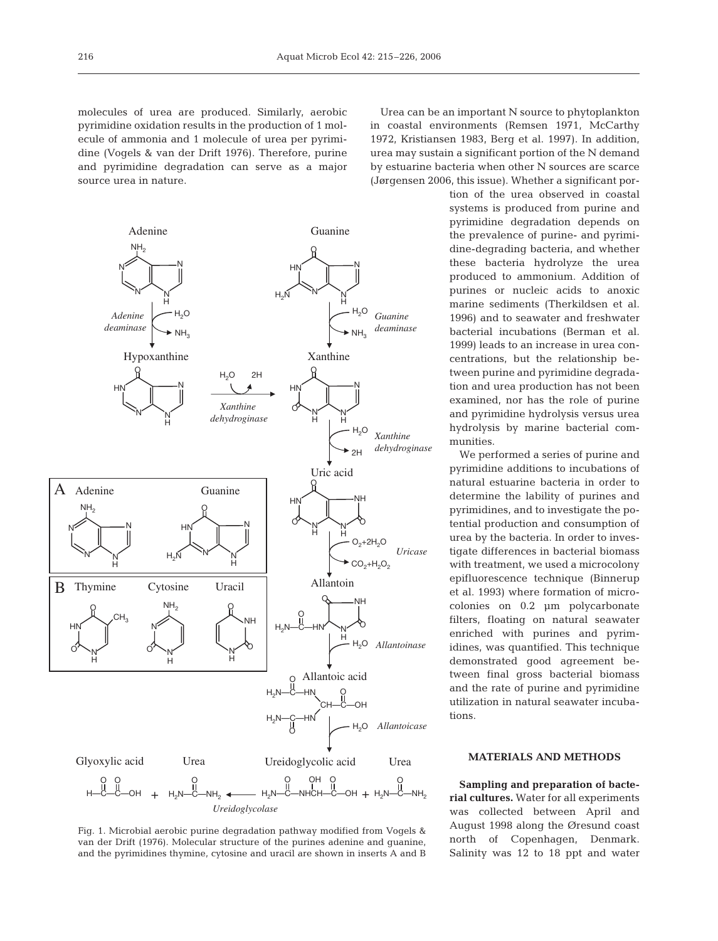molecules of urea are produced. Similarly, aerobic pyrimidine oxidation results in the production of 1 molecule of ammonia and 1 molecule of urea per pyrimidine (Vogels & van der Drift 1976). Therefore, purine and pyrimidine degradation can serve as a major source urea in nature.





Urea can be an important N source to phytoplankton in coastal environments (Remsen 1971, McCarthy 1972, Kristiansen 1983, Berg et al. 1997). In addition, urea may sustain a significant portion of the N demand by estuarine bacteria when other N sources are scarce (Jørgensen 2006, this issue). Whether a significant por-

> tion of the urea observed in coastal systems is produced from purine and pyrimidine degradation depends on the prevalence of purine- and pyrimidine-degrading bacteria, and whether these bacteria hydrolyze the urea produced to ammonium. Addition of purines or nucleic acids to anoxic marine sediments (Therkildsen et al. 1996) and to seawater and freshwater bacterial incubations (Berman et al. 1999) leads to an increase in urea concentrations, but the relationship between purine and pyrimidine degradation and urea production has not been examined, nor has the role of purine and pyrimidine hydrolysis versus urea hydrolysis by marine bacterial communities.

> We performed a series of purine and pyrimidine additions to incubations of natural estuarine bacteria in order to determine the lability of purines and pyrimidines, and to investigate the potential production and consumption of urea by the bacteria. In order to investigate differences in bacterial biomass with treatment, we used a microcolony epifluorescence technique (Binnerup et al. 1993) where formation of microcolonies on 0.2 µm polycarbonate filters, floating on natural seawater enriched with purines and pyrimidines, was quantified. This technique demonstrated good agreement between final gross bacterial biomass and the rate of purine and pyrimidine utilization in natural seawater incubations.

## **MATERIALS AND METHODS**

**Sampling and preparation of bacterial cultures.** Water for all experiments was collected between April and August 1998 along the Øresund coast north of Copenhagen, Denmark. Salinity was 12 to 18 ppt and water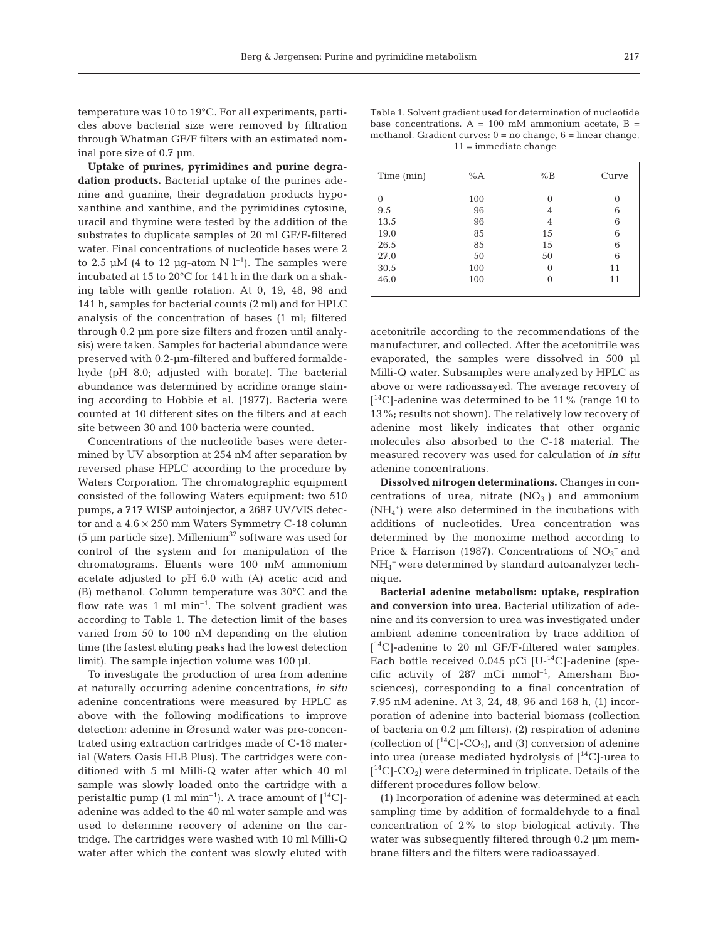temperature was 10 to 19°C. For all experiments, particles above bacterial size were removed by filtration through Whatman GF/F filters with an estimated nominal pore size of 0.7 µm.

**Uptake of purines, pyrimidines and purine degradation products.** Bacterial uptake of the purines adenine and guanine, their degradation products hypoxanthine and xanthine, and the pyrimidines cytosine, uracil and thymine were tested by the addition of the substrates to duplicate samples of 20 ml GF/F-filtered water. Final concentrations of nucleotide bases were 2 to 2.5 µM (4 to 12 µg-atom N  $l^{-1}$ ). The samples were incubated at 15 to 20°C for 141 h in the dark on a shaking table with gentle rotation. At 0, 19, 48, 98 and 141 h, samples for bacterial counts (2 ml) and for HPLC analysis of the concentration of bases (1 ml; filtered through 0.2 µm pore size filters and frozen until analysis) were taken. Samples for bacterial abundance were preserved with 0.2-µm-filtered and buffered formaldehyde (pH 8.0; adjusted with borate). The bacterial abundance was determined by acridine orange staining according to Hobbie et al. (1977). Bacteria were counted at 10 different sites on the filters and at each site between 30 and 100 bacteria were counted.

Concentrations of the nucleotide bases were determined by UV absorption at 254 nM after separation by reversed phase HPLC according to the procedure by Waters Corporation. The chromatographic equipment consisted of the following Waters equipment: two 510 pumps, a 717 WISP autoinjector, a 2687 UV/VIS detector and a 4.6 × 250 mm Waters Symmetry C-18 column (5  $\mu$ m particle size). Millenium<sup>32</sup> software was used for control of the system and for manipulation of the chromatograms. Eluents were 100 mM ammonium acetate adjusted to pH 6.0 with (A) acetic acid and (B) methanol. Column temperature was 30°C and the flow rate was 1 ml  $min^{-1}$ . The solvent gradient was according to Table 1. The detection limit of the bases varied from 50 to 100 nM depending on the elution time (the fastest eluting peaks had the lowest detection limit). The sample injection volume was 100 µl.

To investigate the production of urea from adenine at naturally occurring adenine concentrations, *in situ* adenine concentrations were measured by HPLC as above with the following modifications to improve detection: adenine in Øresund water was pre-concentrated using extraction cartridges made of C-18 material (Waters Oasis HLB Plus). The cartridges were conditioned with 5 ml Milli-Q water after which 40 ml sample was slowly loaded onto the cartridge with a peristaltic pump (1 ml min<sup>-1</sup>). A trace amount of  $[^{14}C]$ adenine was added to the 40 ml water sample and was used to determine recovery of adenine on the cartridge. The cartridges were washed with 10 ml Milli-Q water after which the content was slowly eluted with

| Table 1. Solvent gradient used for determination of nucleotide |
|----------------------------------------------------------------|
| base concentrations. $A = 100$ mM ammonium acetate. $B =$      |
| methanol. Gradient curves: $0 = no$ change, $6 = line$ change, |
| $11 = \text{immediate change}$                                 |
|                                                                |

| Time (min) | %A  | %B | Curve    |
|------------|-----|----|----------|
| 0          | 100 | 0  | $\Omega$ |
| 9.5        | 96  | 4  | 6        |
| 13.5       | 96  | 4  | 6        |
| 19.0       | 85  | 15 | 6        |
| 26.5       | 85  | 15 | 6        |
| 27.0       | 50  | 50 | 6        |
| 30.5       | 100 | 0  | 11       |
| 46.0       | 100 | 0  | 11       |
|            |     |    |          |

acetonitrile according to the recommendations of the manufacturer, and collected. After the acetonitrile was evaporated, the samples were dissolved in 500 µl Milli-Q water. Subsamples were analyzed by HPLC as above or were radioassayed. The average recovery of [ 14C]-adenine was determined to be 11% (range 10 to 13%; results not shown). The relatively low recovery of adenine most likely indicates that other organic molecules also absorbed to the C-18 material. The measured recovery was used for calculation of *in situ* adenine concentrations.

**Dissolved nitrogen determinations.** Changes in concentrations of urea, nitrate  $(NO<sub>3</sub><sup>-</sup>)$  and ammonium (NH4 +) were also determined in the incubations with additions of nucleotides. Urea concentration was determined by the monoxime method according to Price & Harrison (1987). Concentrations of  $NO<sub>3</sub><sup>-</sup>$  and NH4 + were determined by standard autoanalyzer technique.

**Bacterial adenine metabolism: uptake, respiration and conversion into urea.** Bacterial utilization of adenine and its conversion to urea was investigated under ambient adenine concentration by trace addition of [ 14C]-adenine to 20 ml GF/F-filtered water samples. Each bottle received  $0.045 \mu$ Ci [U-<sup>14</sup>C]-adenine (specific activity of  $287$  mCi mmol<sup>-1</sup>, Amersham Biosciences), corresponding to a final concentration of 7.95 nM adenine. At 3, 24, 48, 96 and 168 h, (1) incorporation of adenine into bacterial biomass (collection of bacteria on 0.2 µm filters), (2) respiration of adenine (collection of  $[^{14}C]$ -CO<sub>2</sub>), and (3) conversion of adenine into urea (urease mediated hydrolysis of  $[$ <sup>14</sup>C]-urea to  $[$ <sup>14</sup>C]-CO<sub>2</sub>) were determined in triplicate. Details of the different procedures follow below.

(1) Incorporation of adenine was determined at each sampling time by addition of formaldehyde to a final concentration of 2% to stop biological activity. The water was subsequently filtered through 0.2 µm membrane filters and the filters were radioassayed.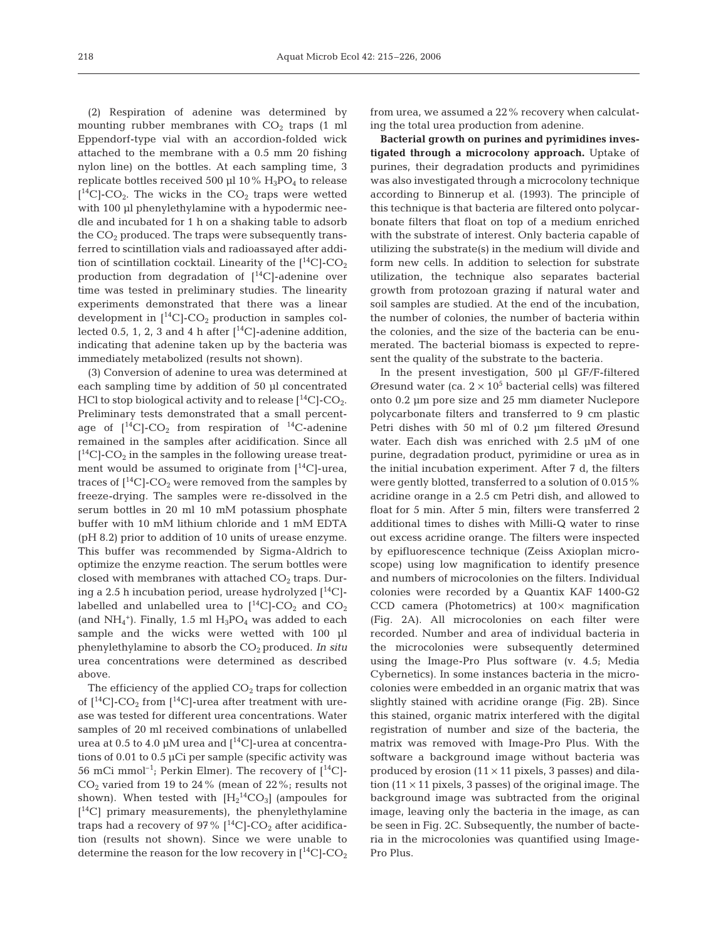(2) Respiration of adenine was determined by mounting rubber membranes with  $CO<sub>2</sub>$  traps (1 ml Eppendorf-type vial with an accordion-folded wick attached to the membrane with a 0.5 mm 20 fishing nylon line) on the bottles. At each sampling time, 3 replicate bottles received 500 µl 10%  $H_3PO_4$  to release  $[$ <sup>14</sup>C]-CO<sub>2</sub>. The wicks in the CO<sub>2</sub> traps were wetted with 100 µl phenylethylamine with a hypodermic needle and incubated for 1 h on a shaking table to adsorb the  $CO<sub>2</sub>$  produced. The traps were subsequently transferred to scintillation vials and radioassayed after addition of scintillation cocktail. Linearity of the  $[$ <sup>14</sup>C $]$ -CO<sub>2</sub> production from degradation of  $[14C]$ -adenine over time was tested in preliminary studies. The linearity experiments demonstrated that there was a linear development in  $[^{14}C]$ -CO<sub>2</sub> production in samples collected 0.5, 1, 2, 3 and 4 h after  $[$ <sup>14</sup>C $]$ -adenine addition, indicating that adenine taken up by the bacteria was immediately metabolized (results not shown).

(3) Conversion of adenine to urea was determined at each sampling time by addition of 50 µl concentrated HCl to stop biological activity and to release  $[{}^{14}C$  -  $CO_2$ . Preliminary tests demonstrated that a small percentage of  $[^{14}C]$ -CO<sub>2</sub> from respiration of  $^{14}C$ -adenine remained in the samples after acidification. Since all  $[$ <sup>14</sup>C]-CO<sub>2</sub> in the samples in the following urease treatment would be assumed to originate from  $[14C]$ -urea, traces of  $[14C]$ -CO<sub>2</sub> were removed from the samples by freeze-drying. The samples were re-dissolved in the serum bottles in 20 ml 10 mM potassium phosphate buffer with 10 mM lithium chloride and 1 mM EDTA (pH 8.2) prior to addition of 10 units of urease enzyme. This buffer was recommended by Sigma-Aldrich to optimize the enzyme reaction. The serum bottles were closed with membranes with attached  $CO<sub>2</sub>$  traps. During a 2.5 h incubation period, urease hydrolyzed  $[$ <sup>14</sup>C $]$ labelled and unlabelled urea to  $[^{14}C]$ -CO<sub>2</sub> and CO<sub>2</sub> (and  $NH_4$ <sup>+</sup>). Finally, 1.5 ml  $H_3PO_4$  was added to each sample and the wicks were wetted with 100 µl phenylethylamine to absorb the CO<sub>2</sub> produced. *In situ* urea concentrations were determined as described above.

The efficiency of the applied  $CO<sub>2</sub>$  traps for collection of  $\lceil$ <sup>14</sup>C]-CO<sub>2</sub> from  $\lceil$ <sup>14</sup>C]-urea after treatment with urease was tested for different urea concentrations. Water samples of 20 ml received combinations of unlabelled urea at 0.5 to 4.0  $\mu$ M urea and  $[$ <sup>14</sup>C]-urea at concentrations of 0.01 to 0.5 µCi per sample (specific activity was 56 mCi mmol<sup>-1</sup>; Perkin Elmer). The recovery of  $[$ <sup>14</sup>C $]$ - $CO<sub>2</sub>$  varied from 19 to 24% (mean of 22%; results not shown). When tested with  $[H_2^{14}CO_3]$  (ampoules for [<sup>14</sup>C] primary measurements), the phenylethylamine traps had a recovery of 97%  $[$ <sup>14</sup>C $]$ -CO<sub>2</sub> after acidification (results not shown). Since we were unable to determine the reason for the low recovery in  $[^{14}C]$ -CO<sub>2</sub>

from urea, we assumed a 22% recovery when calculating the total urea production from adenine.

**Bacterial growth on purines and pyrimidines investigated through a microcolony approach.** Uptake of purines, their degradation products and pyrimidines was also investigated through a microcolony technique according to Binnerup et al. (1993). The principle of this technique is that bacteria are filtered onto polycarbonate filters that float on top of a medium enriched with the substrate of interest. Only bacteria capable of utilizing the substrate(s) in the medium will divide and form new cells. In addition to selection for substrate utilization, the technique also separates bacterial growth from protozoan grazing if natural water and soil samples are studied. At the end of the incubation, the number of colonies, the number of bacteria within the colonies, and the size of the bacteria can be enumerated. The bacterial biomass is expected to represent the quality of the substrate to the bacteria.

In the present investigation, 500 µl GF/F-filtered Øresund water (ca.  $2 \times 10^5$  bacterial cells) was filtered onto 0.2 µm pore size and 25 mm diameter Nuclepore polycarbonate filters and transferred to 9 cm plastic Petri dishes with 50 ml of 0.2 µm filtered Øresund water. Each dish was enriched with 2.5 µM of one purine, degradation product, pyrimidine or urea as in the initial incubation experiment. After 7 d, the filters were gently blotted, transferred to a solution of 0.015% acridine orange in a 2.5 cm Petri dish, and allowed to float for 5 min. After 5 min, filters were transferred 2 additional times to dishes with Milli-Q water to rinse out excess acridine orange. The filters were inspected by epifluorescence technique (Zeiss Axioplan microscope) using low magnification to identify presence and numbers of microcolonies on the filters. Individual colonies were recorded by a Quantix KAF 1400-G2 CCD camera (Photometrics) at  $100\times$  magnification (Fig. 2A). All microcolonies on each filter were recorded. Number and area of individual bacteria in the microcolonies were subsequently determined using the Image-Pro Plus software (v. 4.5; Media Cybernetics). In some instances bacteria in the microcolonies were embedded in an organic matrix that was slightly stained with acridine orange (Fig. 2B). Since this stained, organic matrix interfered with the digital registration of number and size of the bacteria, the matrix was removed with Image-Pro Plus. With the software a background image without bacteria was produced by erosion  $(11 \times 11)$  pixels, 3 passes) and dilation  $(11 \times 11$  pixels, 3 passes) of the original image. The background image was subtracted from the original image, leaving only the bacteria in the image, as can be seen in Fig. 2C. Subsequently, the number of bacteria in the microcolonies was quantified using Image-Pro Plus.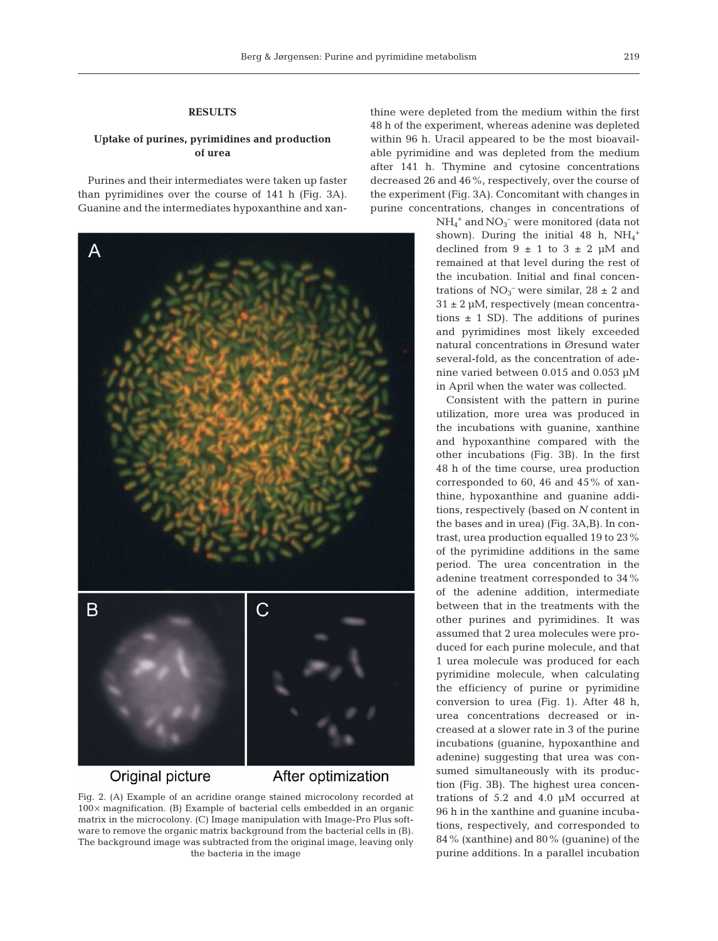## **RESULTS**

# **Uptake of purines, pyrimidines and production of urea**

Purines and their intermediates were taken up faster than pyrimidines over the course of 141 h (Fig. 3A). Guanine and the intermediates hypoxanthine and xan-



After optimization

Fig. 2. (A) Example of an acridine orange stained microcolony recorded at  $100\times$  magnification. (B) Example of bacterial cells embedded in an organic matrix in the microcolony. (C) Image manipulation with Image-Pro Plus software to remove the organic matrix background from the bacterial cells in (B). The background image was subtracted from the original image, leaving only the bacteria in the image

thine were depleted from the medium within the first 48 h of the experiment, whereas adenine was depleted within 96 h. Uracil appeared to be the most bioavailable pyrimidine and was depleted from the medium after 141 h. Thymine and cytosine concentrations decreased 26 and 46%, respectively, over the course of the experiment (Fig. 3A). Concomitant with changes in purine concentrations, changes in concentrations of

> $NH_4^+$  and  $NO_3^-$  were monitored (data not shown). During the initial 48 h,  $NH_4$ <sup>+</sup> declined from  $9 \pm 1$  to  $3 \pm 2$  µM and remained at that level during the rest of the incubation. Initial and final concentrations of  $NO<sub>3</sub><sup>-</sup>$  were similar, 28  $\pm$  2 and  $31 \pm 2$  µM, respectively (mean concentrations  $\pm$  1 SD). The additions of purines and pyrimidines most likely exceeded natural concentrations in Øresund water several-fold, as the concentration of adenine varied between 0.015 and 0.053 µM in April when the water was collected.

> Consistent with the pattern in purine utilization, more urea was produced in the incubations with guanine, xanthine and hypoxanthine compared with the other incubations (Fig. 3B). In the first 48 h of the time course, urea production corresponded to 60, 46 and 45% of xanthine, hypoxanthine and guanine additions, respectively (based on *N* content in the bases and in urea) (Fig. 3A,B). In contrast, urea production equalled 19 to 23% of the pyrimidine additions in the same period. The urea concentration in the adenine treatment corresponded to 34% of the adenine addition, intermediate between that in the treatments with the other purines and pyrimidines. It was assumed that 2 urea molecules were produced for each purine molecule, and that 1 urea molecule was produced for each pyrimidine molecule, when calculating the efficiency of purine or pyrimidine conversion to urea (Fig. 1). After 48 h, urea concentrations decreased or increased at a slower rate in 3 of the purine incubations (guanine, hypoxanthine and adenine) suggesting that urea was consumed simultaneously with its production (Fig. 3B). The highest urea concentrations of 5.2 and 4.0 µM occurred at 96 h in the xanthine and guanine incubations, respectively, and corresponded to 84% (xanthine) and 80% (guanine) of the purine additions. In a parallel incubation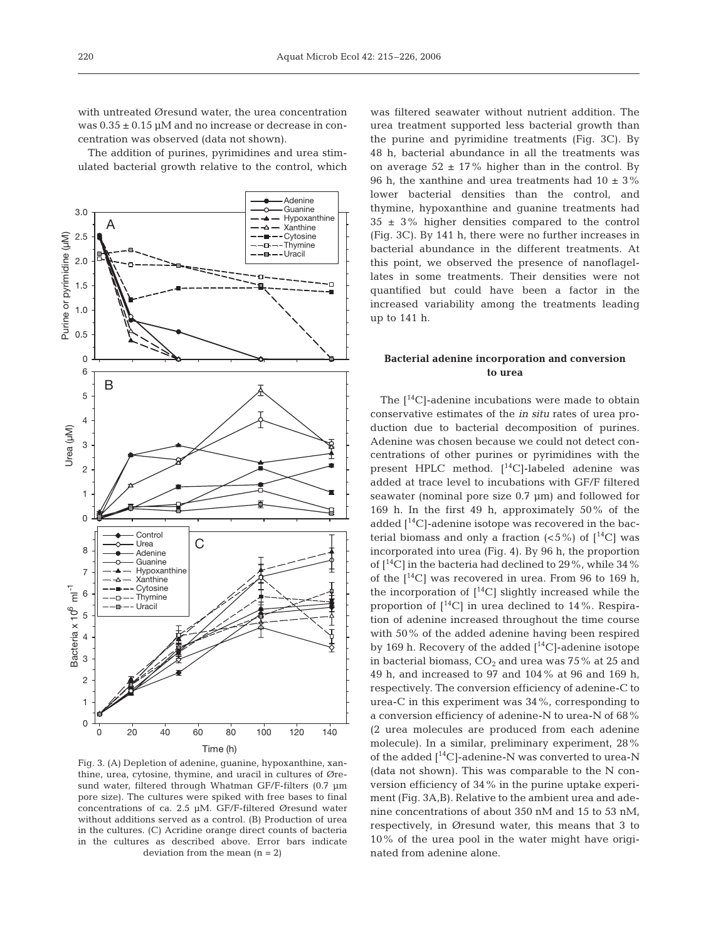with untreated Øresund water, the urea concentration was 0.35 ± 0.15 µM and no increase or decrease in concentration was observed (data not shown).

The addition of purines, pyrimidines and urea stimulated bacterial growth relative to the control, which



Fig. 3. (A) Depletion of adenine, guanine, hypoxanthine, xanthine, urea, cytosine, thymine, and uracil in cultures of Øresund water, filtered through Whatman GF/F-filters (0.7 µm pore size). The cultures were spiked with free bases to final concentrations of ca. 2.5 µM. GF/F-filtered Øresund water without additions served as a control. (B) Production of urea in the cultures. (C) Acridine orange direct counts of bacteria in the cultures as described above. Error bars indicate deviation from the mean  $(n = 2)$ 

was filtered seawater without nutrient addition. The urea treatment supported less bacterial growth than the purine and pyrimidine treatments (Fig. 3C). By 48 h, bacterial abundance in all the treatments was on average  $52 \pm 17\%$  higher than in the control. By 96 h, the xanthine and urea treatments had  $10 \pm 3\%$ lower bacterial densities than the control, and thymine, hypoxanthine and guanine treatments had  $35 \pm 3\%$  higher densities compared to the control (Fig. 3C). By 141 h, there were no further increases in bacterial abundance in the different treatments. At this point, we observed the presence of nanoflagellates in some treatments. Their densities were not quantified but could have been a factor in the increased variability among the treatments leading up to 141 h.

## **Bacterial adenine incorporation and conversion to urea**

The  $1^4$ C<sub>l</sub>-adenine incubations were made to obtain conservative estimates of the *in situ* rates of urea production due to bacterial decomposition of purines. Adenine was chosen because we could not detect concentrations of other purines or pyrimidines with the present HPLC method.  $[$ <sup>14</sup>C]-labeled adenine was added at trace level to incubations with GF/F filtered seawater (nominal pore size 0.7 µm) and followed for 169 h. In the first 49 h, approximately 50% of the added  $[$ <sup>14</sup>C]-adenine isotope was recovered in the bacterial biomass and only a fraction  $(<5\%)$  of  $[^{14}C]$  was incorporated into urea (Fig. 4). By 96 h, the proportion of  $\lceil^{14}C\rceil$  in the bacteria had declined to 29%, while 34% of the  $[$ <sup>14</sup>C] was recovered in urea. From 96 to 169 h, the incorporation of  $[$ <sup>14</sup>C $]$  slightly increased while the proportion of  $\vert^{14}C\vert$  in urea declined to 14%. Respiration of adenine increased throughout the time course with 50% of the added adenine having been respired by 169 h. Recovery of the added  $[$ <sup>14</sup>C $]$ -adenine isotope in bacterial biomass,  $CO<sub>2</sub>$  and urea was 75% at 25 and 49 h, and increased to 97 and 104% at 96 and 169 h, respectively. The conversion efficiency of adenine-C to urea-C in this experiment was 34%, corresponding to a conversion efficiency of adenine-N to urea-N of 68% (2 urea molecules are produced from each adenine molecule). In a similar, preliminary experiment, 28% of the added  $[$ <sup>14</sup>C]-adenine-N was converted to urea-N (data not shown). This was comparable to the N conversion efficiency of 34% in the purine uptake experiment (Fig. 3A,B). Relative to the ambient urea and adenine concentrations of about 350 nM and 15 to 53 nM, respectively, in Øresund water, this means that 3 to 10% of the urea pool in the water might have originated from adenine alone.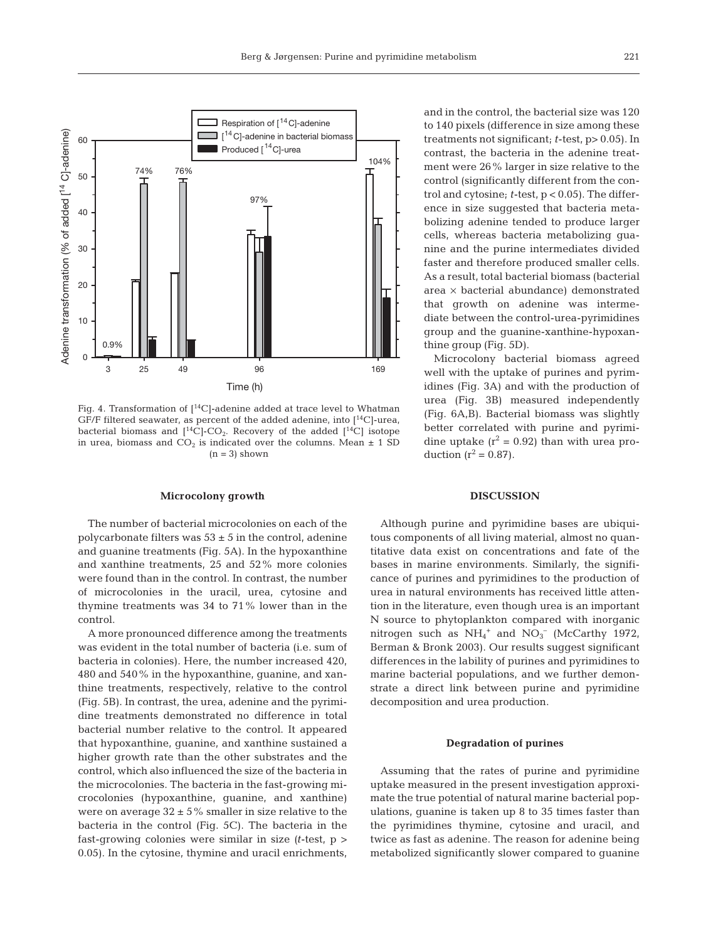

Fig. 4. Transformation of  $[$ <sup>14</sup>C]-adenine added at trace level to Whatman GF/F filtered seawater, as percent of the added adenine, into  $[14C]$ -urea, bacterial biomass and  $[14C]$ -CO<sub>2</sub>. Recovery of the added  $[14C]$  isotope in urea, biomass and  $CO<sub>2</sub>$  is indicated over the columns. Mean  $\pm$  1 SD  $(n = 3)$  shown

#### **Microcolony growth**

The number of bacterial microcolonies on each of the polycarbonate filters was  $53 \pm 5$  in the control, adenine and guanine treatments (Fig. 5A). In the hypoxanthine and xanthine treatments, 25 and 52% more colonies were found than in the control. In contrast, the number of microcolonies in the uracil, urea, cytosine and thymine treatments was 34 to 71% lower than in the control.

A more pronounced difference among the treatments was evident in the total number of bacteria (i.e. sum of bacteria in colonies). Here, the number increased 420, 480 and 540% in the hypoxanthine, guanine, and xanthine treatments, respectively, relative to the control (Fig. 5B). In contrast, the urea, adenine and the pyrimidine treatments demonstrated no difference in total bacterial number relative to the control. It appeared that hypoxanthine, guanine, and xanthine sustained a higher growth rate than the other substrates and the control, which also influenced the size of the bacteria in the microcolonies. The bacteria in the fast-growing microcolonies (hypoxanthine, guanine, and xanthine) were on average  $32 \pm 5\%$  smaller in size relative to the bacteria in the control (Fig. 5C). The bacteria in the fast-growing colonies were similar in size *(t*-test, p > 0.05). In the cytosine, thymine and uracil enrichments,

and in the control, the bacterial size was 120 to 140 pixels (difference in size among these treatments not significant; *t*-test, p> 0.05). In contrast, the bacteria in the adenine treatment were 26% larger in size relative to the control (significantly different from the control and cytosine; *t*-test, p < 0.05). The difference in size suggested that bacteria metabolizing adenine tended to produce larger cells, whereas bacteria metabolizing guanine and the purine intermediates divided faster and therefore produced smaller cells. As a result, total bacterial biomass (bacterial area × bacterial abundance) demonstrated that growth on adenine was intermediate between the control-urea-pyrimidines group and the guanine-xanthine-hypoxanthine group (Fig. 5D).

Microcolony bacterial biomass agreed well with the uptake of purines and pyrimidines (Fig. 3A) and with the production of urea (Fig. 3B) measured independently (Fig. 6A,B). Bacterial biomass was slightly better correlated with purine and pyrimidine uptake  $(r^2 = 0.92)$  than with urea production  $(r^2 = 0.87)$ .

### **DISCUSSION**

Although purine and pyrimidine bases are ubiquitous components of all living material, almost no quantitative data exist on concentrations and fate of the bases in marine environments. Similarly, the significance of purines and pyrimidines to the production of urea in natural environments has received little attention in the literature, even though urea is an important N source to phytoplankton compared with inorganic nitrogen such as  $NH_4$ <sup>+</sup> and  $NO_3^-$  (McCarthy 1972, Berman & Bronk 2003). Our results suggest significant differences in the lability of purines and pyrimidines to marine bacterial populations, and we further demonstrate a direct link between purine and pyrimidine decomposition and urea production.

#### **Degradation of purines**

Assuming that the rates of purine and pyrimidine uptake measured in the present investigation approximate the true potential of natural marine bacterial populations, guanine is taken up 8 to 35 times faster than the pyrimidines thymine, cytosine and uracil, and twice as fast as adenine. The reason for adenine being metabolized significantly slower compared to guanine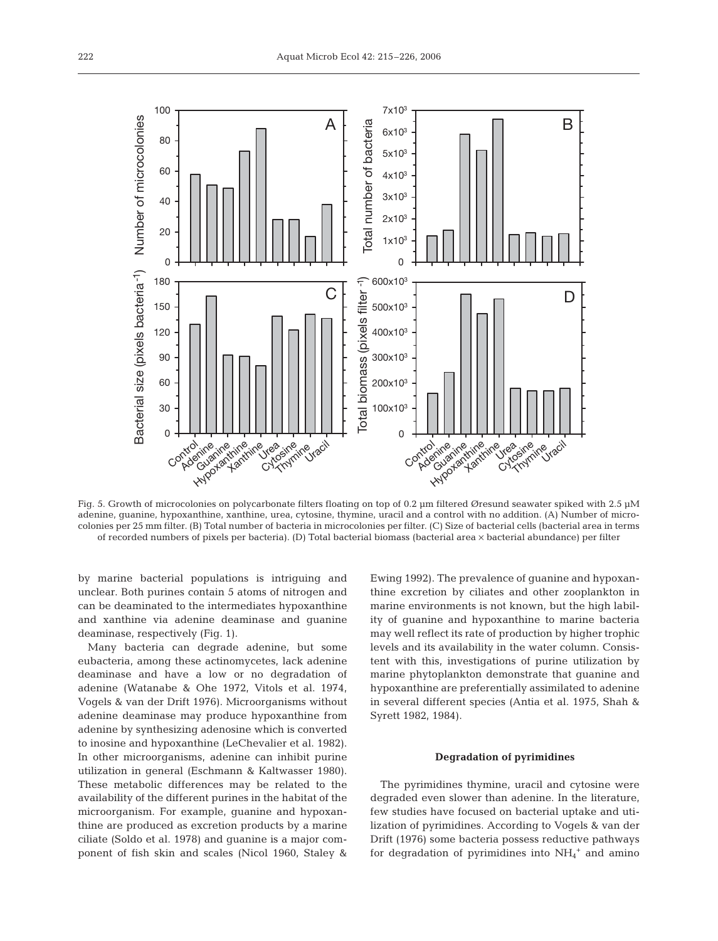

Fig. 5. Growth of microcolonies on polycarbonate filters floating on top of 0.2 µm filtered Øresund seawater spiked with 2.5 µM adenine, guanine, hypoxanthine, xanthine, urea, cytosine, thymine, uracil and a control with no addition. (A) Number of microcolonies per 25 mm filter. (B) Total number of bacteria in microcolonies per filter. (C) Size of bacterial cells (bacterial area in terms of recorded numbers of pixels per bacteria). (D) Total bacterial biomass (bacterial area × bacterial abundance) per filter

by marine bacterial populations is intriguing and unclear. Both purines contain 5 atoms of nitrogen and can be deaminated to the intermediates hypoxanthine and xanthine via adenine deaminase and guanine deaminase, respectively (Fig. 1).

Many bacteria can degrade adenine, but some eubacteria, among these actinomycetes, lack adenine deaminase and have a low or no degradation of adenine (Watanabe & Ohe 1972, Vitols et al. 1974, Vogels & van der Drift 1976). Microorganisms without adenine deaminase may produce hypoxanthine from adenine by synthesizing adenosine which is converted to inosine and hypoxanthine (LeChevalier et al. 1982). In other microorganisms, adenine can inhibit purine utilization in general (Eschmann & Kaltwasser 1980). These metabolic differences may be related to the availability of the different purines in the habitat of the microorganism. For example, guanine and hypoxanthine are produced as excretion products by a marine ciliate (Soldo et al. 1978) and guanine is a major component of fish skin and scales (Nicol 1960, Staley &

Ewing 1992). The prevalence of guanine and hypoxanthine excretion by ciliates and other zooplankton in marine environments is not known, but the high lability of guanine and hypoxanthine to marine bacteria may well reflect its rate of production by higher trophic levels and its availability in the water column. Consistent with this, investigations of purine utilization by marine phytoplankton demonstrate that guanine and hypoxanthine are preferentially assimilated to adenine in several different species (Antia et al. 1975, Shah & Syrett 1982, 1984).

#### **Degradation of pyrimidines**

The pyrimidines thymine, uracil and cytosine were degraded even slower than adenine. In the literature, few studies have focused on bacterial uptake and utilization of pyrimidines. According to Vogels & van der Drift (1976) some bacteria possess reductive pathways for degradation of pyrimidines into  $NH_4^+$  and amino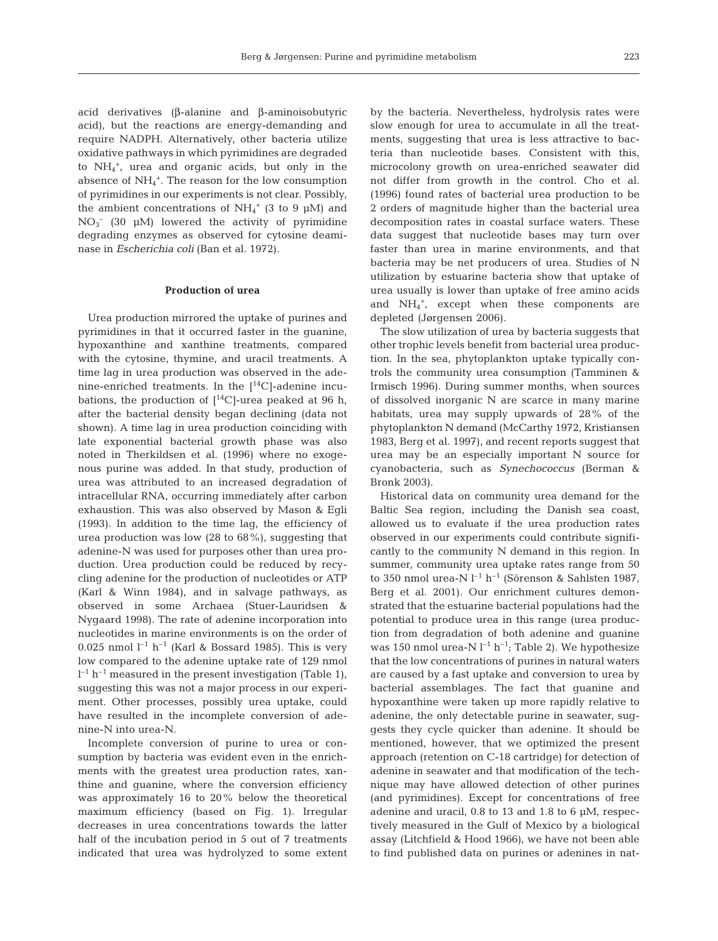acid derivatives (β-alanine and β-aminoisobutyric acid), but the reactions are energy-demanding and require NADPH. Alternatively, other bacteria utilize oxidative pathways in which pyrimidines are degraded to NH4 +, urea and organic acids, but only in the absence of  $NH_4$ <sup>+</sup>. The reason for the low consumption of pyrimidines in our experiments is not clear. Possibly, the ambient concentrations of  $NH_4^+$  (3 to 9 µM) and  $NO<sub>3</sub><sup>-</sup>$  (30 µM) lowered the activity of pyrimidine degrading enzymes as observed for cytosine deaminase in *Escherichia coli* (Ban et al. 1972).

## **Production of urea**

Urea production mirrored the uptake of purines and pyrimidines in that it occurred faster in the guanine, hypoxanthine and xanthine treatments, compared with the cytosine, thymine, and uracil treatments. A time lag in urea production was observed in the adenine-enriched treatments. In the  $[$ <sup>14</sup>C $]$ -adenine incubations, the production of  $\int_1^{14}$ C]-urea peaked at 96 h, after the bacterial density began declining (data not shown). A time lag in urea production coinciding with late exponential bacterial growth phase was also noted in Therkildsen et al. (1996) where no exogenous purine was added. In that study, production of urea was attributed to an increased degradation of intracellular RNA, occurring immediately after carbon exhaustion. This was also observed by Mason & Egli (1993). In addition to the time lag, the efficiency of urea production was low (28 to 68%), suggesting that adenine-N was used for purposes other than urea production. Urea production could be reduced by recycling adenine for the production of nucleotides or ATP (Karl & Winn 1984), and in salvage pathways, as observed in some Archaea (Stuer-Lauridsen & Nygaard 1998). The rate of adenine incorporation into nucleotides in marine environments is on the order of 0.025 nmol  $l^{-1}$  h<sup>-1</sup> (Karl & Bossard 1985). This is very low compared to the adenine uptake rate of 129 nmol  $l^{-1}$  h<sup>-1</sup> measured in the present investigation (Table 1), suggesting this was not a major process in our experiment. Other processes, possibly urea uptake, could have resulted in the incomplete conversion of adenine-N into urea-N.

Incomplete conversion of purine to urea or consumption by bacteria was evident even in the enrichments with the greatest urea production rates, xanthine and guanine, where the conversion efficiency was approximately 16 to 20% below the theoretical maximum efficiency (based on Fig. 1). Irregular decreases in urea concentrations towards the latter half of the incubation period in 5 out of 7 treatments indicated that urea was hydrolyzed to some extent

by the bacteria. Nevertheless, hydrolysis rates were slow enough for urea to accumulate in all the treatments, suggesting that urea is less attractive to bacteria than nucleotide bases. Consistent with this, microcolony growth on urea-enriched seawater did not differ from growth in the control. Cho et al. (1996) found rates of bacterial urea production to be 2 orders of magnitude higher than the bacterial urea decomposition rates in coastal surface waters. These data suggest that nucleotide bases may turn over faster than urea in marine environments, and that bacteria may be net producers of urea. Studies of N utilization by estuarine bacteria show that uptake of urea usually is lower than uptake of free amino acids and NH4 +, except when these components are depleted (Jørgensen 2006).

The slow utilization of urea by bacteria suggests that other trophic levels benefit from bacterial urea production. In the sea, phytoplankton uptake typically controls the community urea consumption (Tamminen & Irmisch 1996). During summer months, when sources of dissolved inorganic N are scarce in many marine habitats, urea may supply upwards of 28% of the phytoplankton N demand (McCarthy 1972, Kristiansen 1983, Berg et al. 1997), and recent reports suggest that urea may be an especially important N source for cyanobacteria, such as *Synechococcus* (Berman & Bronk 2003).

Historical data on community urea demand for the Baltic Sea region, including the Danish sea coast, allowed us to evaluate if the urea production rates observed in our experiments could contribute significantly to the community N demand in this region. In summer, community urea uptake rates range from 50 to 350 nmol urea-N  $l^{-1}$  h<sup>-1</sup> (Sörenson & Sahlsten 1987, Berg et al. 2001). Our enrichment cultures demonstrated that the estuarine bacterial populations had the potential to produce urea in this range (urea production from degradation of both adenine and guanine was 150 nmol urea-N  $l^{-1}$  h<sup>-1</sup>; Table 2). We hypothesize that the low concentrations of purines in natural waters are caused by a fast uptake and conversion to urea by bacterial assemblages. The fact that guanine and hypoxanthine were taken up more rapidly relative to adenine, the only detectable purine in seawater, suggests they cycle quicker than adenine. It should be mentioned, however, that we optimized the present approach (retention on C-18 cartridge) for detection of adenine in seawater and that modification of the technique may have allowed detection of other purines (and pyrimidines). Except for concentrations of free adenine and uracil, 0.8 to 13 and 1.8 to 6 µM, respectively measured in the Gulf of Mexico by a biological assay (Litchfield & Hood 1966), we have not been able to find published data on purines or adenines in nat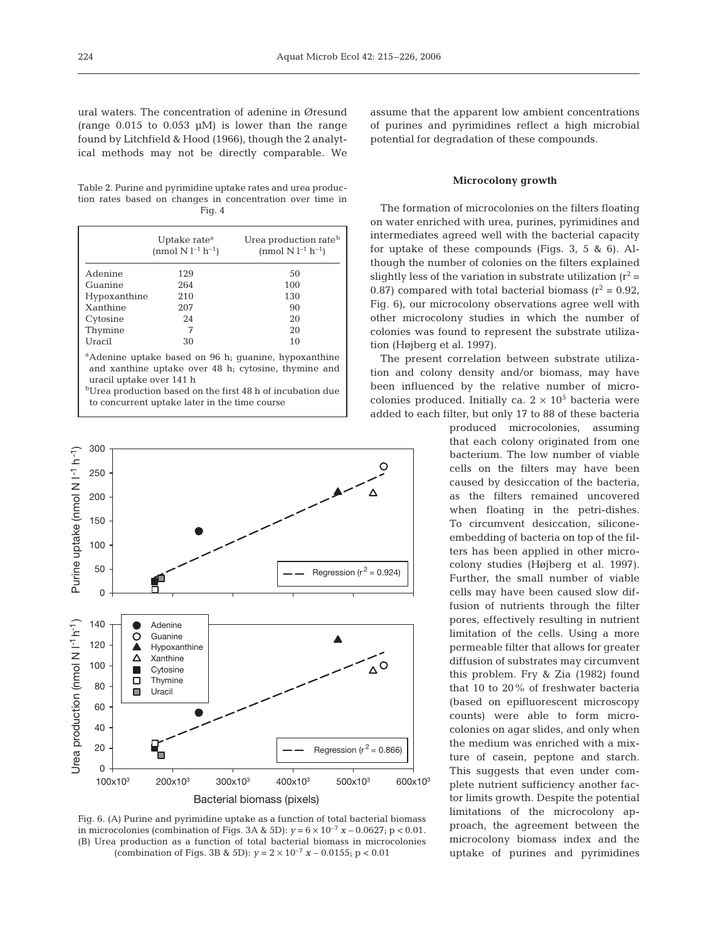ural waters. The concentration of adenine in Øresund (range  $0.015$  to  $0.053$   $\mu$ M) is lower than the range found by Litchfield & Hood (1966), though the 2 analytical methods may not be directly comparable. We

Table 2. Purine and pyrimidine uptake rates and urea production rates based on changes in concentration over time in Fig. 4

|              | Uptake rate <sup>a</sup><br>(nmol $N l^{-1} h^{-1}$ ) | Urea production rate <sup>b</sup><br>(nmol $N l^{-1} h^{-1}$ ) |
|--------------|-------------------------------------------------------|----------------------------------------------------------------|
| Adenine      | 129                                                   | 50                                                             |
| Guanine      | 264                                                   | 100                                                            |
| Hypoxanthine | 210                                                   | 130                                                            |
| Xanthine     | 207                                                   | 90                                                             |
| Cytosine     | 24                                                    | 20                                                             |
| Thymine      | 7                                                     | 20                                                             |
| Uracil       | 30                                                    | 10                                                             |

<sup>a</sup>Adenine uptake based on 96 h; quanine, hypoxanthine and xanthine uptake over 48 h; cytosine, thymine and uracil uptake over 141 h

bUrea production based on the first 48 h of incubation due to concurrent uptake later in the time course



Fig. 6. (A) Purine and pyrimidine uptake as a function of total bacterial biomass in microcolonies (combination of Figs. 3A & 5D):  $y = 6 \times 10^{-7} x - 0.0627$ ; p < 0.01. (B) Urea production as a function of total bacterial biomass in microcolonies (combination of Figs. 3B & 5D): *y* = 2 × 10–7 *x* – 0.0155; p < 0.01

assume that the apparent low ambient concentrations of purines and pyrimidines reflect a high microbial potential for degradation of these compounds.

#### **Microcolony growth**

The formation of microcolonies on the filters floating on water enriched with urea, purines, pyrimidines and intermediates agreed well with the bacterial capacity for uptake of these compounds (Figs. 3, 5 & 6). Although the number of colonies on the filters explained slightly less of the variation in substrate utilization  $(r^2 =$ 0.87) compared with total bacterial biomass  $(r^2 = 0.92)$ , Fig. 6), our microcolony observations agree well with other microcolony studies in which the number of colonies was found to represent the substrate utilization (Højberg et al. 1997).

The present correlation between substrate utilization and colony density and/or biomass, may have been influenced by the relative number of microcolonies produced. Initially ca.  $2 \times 10^5$  bacteria were added to each filter, but only 17 to 88 of these bacteria

> produced microcolonies, assuming that each colony originated from one bacterium. The low number of viable cells on the filters may have been caused by desiccation of the bacteria, as the filters remained uncovered when floating in the petri-dishes. To circumvent desiccation, siliconeembedding of bacteria on top of the filters has been applied in other microcolony studies (Højberg et al. 1997). Further, the small number of viable cells may have been caused slow diffusion of nutrients through the filter pores, effectively resulting in nutrient limitation of the cells. Using a more permeable filter that allows for greater diffusion of substrates may circumvent this problem. Fry & Zia (1982) found that 10 to 20% of freshwater bacteria (based on epifluorescent microscopy counts) were able to form microcolonies on agar slides, and only when the medium was enriched with a mixture of casein, peptone and starch. This suggests that even under complete nutrient sufficiency another factor limits growth. Despite the potential limitations of the microcolony approach, the agreement between the microcolony biomass index and the uptake of purines and pyrimidines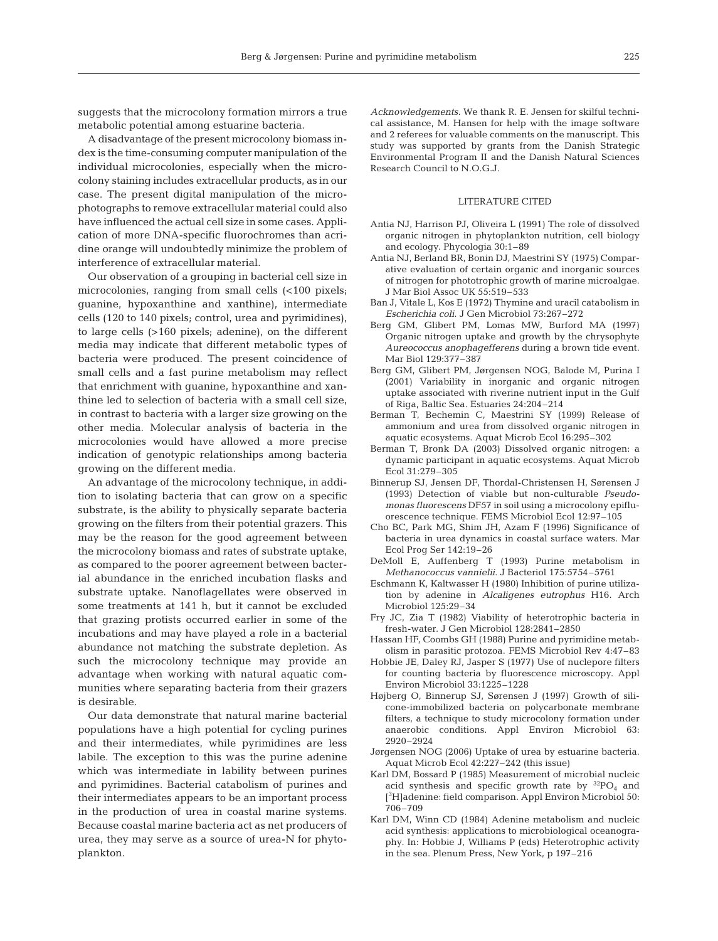suggests that the microcolony formation mirrors a true metabolic potential among estuarine bacteria.

A disadvantage of the present microcolony biomass index is the time-consuming computer manipulation of the individual microcolonies, especially when the microcolony staining includes extracellular products, as in our case. The present digital manipulation of the microphotographs to remove extracellular material could also have influenced the actual cell size in some cases. Application of more DNA-specific fluorochromes than acridine orange will undoubtedly minimize the problem of interference of extracellular material.

Our observation of a grouping in bacterial cell size in microcolonies, ranging from small cells (<100 pixels; guanine, hypoxanthine and xanthine), intermediate cells (120 to 140 pixels; control, urea and pyrimidines), to large cells (>160 pixels; adenine), on the different media may indicate that different metabolic types of bacteria were produced. The present coincidence of small cells and a fast purine metabolism may reflect that enrichment with guanine, hypoxanthine and xanthine led to selection of bacteria with a small cell size, in contrast to bacteria with a larger size growing on the other media. Molecular analysis of bacteria in the microcolonies would have allowed a more precise indication of genotypic relationships among bacteria growing on the different media.

An advantage of the microcolony technique, in addition to isolating bacteria that can grow on a specific substrate, is the ability to physically separate bacteria growing on the filters from their potential grazers. This may be the reason for the good agreement between the microcolony biomass and rates of substrate uptake, as compared to the poorer agreement between bacterial abundance in the enriched incubation flasks and substrate uptake. Nanoflagellates were observed in some treatments at 141 h, but it cannot be excluded that grazing protists occurred earlier in some of the incubations and may have played a role in a bacterial abundance not matching the substrate depletion. As such the microcolony technique may provide an advantage when working with natural aquatic communities where separating bacteria from their grazers is desirable.

Our data demonstrate that natural marine bacterial populations have a high potential for cycling purines and their intermediates, while pyrimidines are less labile. The exception to this was the purine adenine which was intermediate in lability between purines and pyrimidines. Bacterial catabolism of purines and their intermediates appears to be an important process in the production of urea in coastal marine systems. Because coastal marine bacteria act as net producers of urea, they may serve as a source of urea-N for phytoplankton.

*Acknowledgements.* We thank R. E. Jensen for skilful technical assistance, M. Hansen for help with the image software and 2 referees for valuable comments on the manuscript. This study was supported by grants from the Danish Strategic Environmental Program II and the Danish Natural Sciences Research Council to N.O.G.J.

#### LITERATURE CITED

- Antia NJ, Harrison PJ, Oliveira L (1991) The role of dissolved organic nitrogen in phytoplankton nutrition, cell biology and ecology. Phycologia 30:1–89
- Antia NJ, Berland BR, Bonin DJ, Maestrini SY (1975) Comparative evaluation of certain organic and inorganic sources of nitrogen for phototrophic growth of marine microalgae. J Mar Biol Assoc UK 55:519–533
- Ban J, Vitale L, Kos E (1972) Thymine and uracil catabolism in *Escherichia coli*. J Gen Microbiol 73:267–272
- Berg GM, Glibert PM, Lomas MW, Burford MA (1997) Organic nitrogen uptake and growth by the chrysophyte *Aureococcus anophagefferens* during a brown tide event. Mar Biol 129:377–387
- Berg GM, Glibert PM, Jørgensen NOG, Balode M, Purina I (2001) Variability in inorganic and organic nitrogen uptake associated with riverine nutrient input in the Gulf of Riga, Baltic Sea. Estuaries 24:204–214
- Berman T, Bechemin C, Maestrini SY (1999) Release of ammonium and urea from dissolved organic nitrogen in aquatic ecosystems. Aquat Microb Ecol 16:295–302
- Berman T, Bronk DA (2003) Dissolved organic nitrogen: a dynamic participant in aquatic ecosystems. Aquat Microb Ecol 31:279–305
- Binnerup SJ, Jensen DF, Thordal-Christensen H, Sørensen J (1993) Detection of viable but non-culturable *Pseudomonas fluorescens* DF57 in soil using a microcolony epifluorescence technique. FEMS Microbiol Ecol 12:97–105
- Cho BC, Park MG, Shim JH, Azam F (1996) Significance of bacteria in urea dynamics in coastal surface waters. Mar Ecol Prog Ser 142:19–26
- DeMoll E, Auffenberg T (1993) Purine metabolism in *Methanococcus vannielii*. J Bacteriol 175:5754–5761
- Eschmann K, Kaltwasser H (1980) Inhibition of purine utilization by adenine in *Alcaligenes eutrophus* H16. Arch Microbiol 125:29–34
- Fry JC, Zia T (1982) Viability of heterotrophic bacteria in fresh-water. J Gen Microbiol 128:2841–2850
- Hassan HF, Coombs GH (1988) Purine and pyrimidine metabolism in parasitic protozoa. FEMS Microbiol Rev 4:47–83
- Hobbie JE, Daley RJ, Jasper S (1977) Use of nuclepore filters for counting bacteria by fluorescence microscopy. Appl Environ Microbiol 33:1225–1228
- Højberg O, Binnerup SJ, Sørensen J (1997) Growth of silicone-immobilized bacteria on polycarbonate membrane filters, a technique to study microcolony formation under anaerobic conditions. Appl Environ Microbiol 63: 2920–2924
- Jørgensen NOG (2006) Uptake of urea by estuarine bacteria. Aquat Microb Ecol 42:227–242 (this issue)
- Karl DM, Bossard P (1985) Measurement of microbial nucleic acid synthesis and specific growth rate by  ${}^{32}PO_4$  and [ 3 H]adenine: field comparison. Appl Environ Microbiol 50: 706–709
- Karl DM, Winn CD (1984) Adenine metabolism and nucleic acid synthesis: applications to microbiological oceanography. In: Hobbie J, Williams P (eds) Heterotrophic activity in the sea. Plenum Press, New York, p 197–216